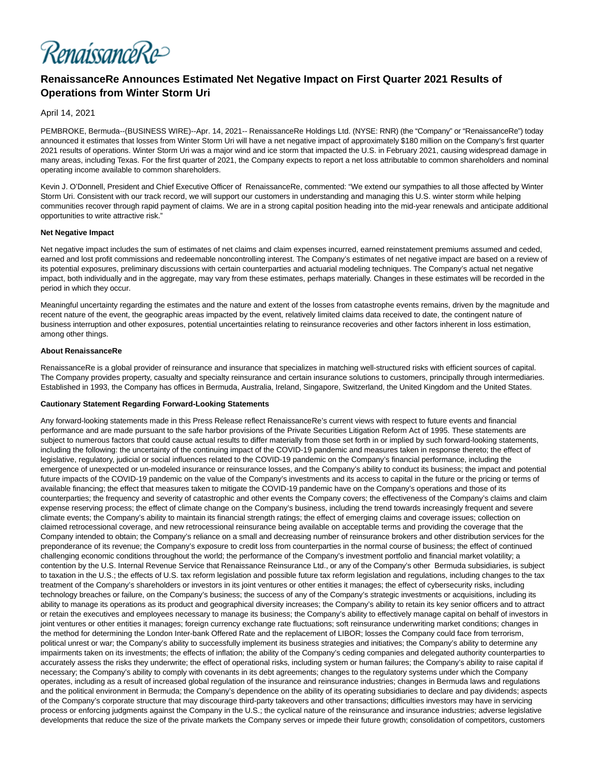RenaissanceRe>

## **RenaissanceRe Announces Estimated Net Negative Impact on First Quarter 2021 Results of Operations from Winter Storm Uri**

April 14, 2021

PEMBROKE, Bermuda--(BUSINESS WIRE)--Apr. 14, 2021-- RenaissanceRe Holdings Ltd. (NYSE: RNR) (the "Company" or "RenaissanceRe") today announced it estimates that losses from Winter Storm Uri will have a net negative impact of approximately \$180 million on the Company's first quarter 2021 results of operations. Winter Storm Uri was a major wind and ice storm that impacted the U.S. in February 2021, causing widespread damage in many areas, including Texas. For the first quarter of 2021, the Company expects to report a net loss attributable to common shareholders and nominal operating income available to common shareholders.

Kevin J. O'Donnell, President and Chief Executive Officer of RenaissanceRe, commented: "We extend our sympathies to all those affected by Winter Storm Uri. Consistent with our track record, we will support our customers in understanding and managing this U.S. winter storm while helping communities recover through rapid payment of claims. We are in a strong capital position heading into the mid-year renewals and anticipate additional opportunities to write attractive risk."

## **Net Negative Impact**

Net negative impact includes the sum of estimates of net claims and claim expenses incurred, earned reinstatement premiums assumed and ceded, earned and lost profit commissions and redeemable noncontrolling interest. The Company's estimates of net negative impact are based on a review of its potential exposures, preliminary discussions with certain counterparties and actuarial modeling techniques. The Company's actual net negative impact, both individually and in the aggregate, may vary from these estimates, perhaps materially. Changes in these estimates will be recorded in the period in which they occur.

Meaningful uncertainty regarding the estimates and the nature and extent of the losses from catastrophe events remains, driven by the magnitude and recent nature of the event, the geographic areas impacted by the event, relatively limited claims data received to date, the contingent nature of business interruption and other exposures, potential uncertainties relating to reinsurance recoveries and other factors inherent in loss estimation, among other things.

## **About RenaissanceRe**

RenaissanceRe is a global provider of reinsurance and insurance that specializes in matching well-structured risks with efficient sources of capital. The Company provides property, casualty and specialty reinsurance and certain insurance solutions to customers, principally through intermediaries. Established in 1993, the Company has offices in Bermuda, Australia, Ireland, Singapore, Switzerland, the United Kingdom and the United States.

## **Cautionary Statement Regarding Forward-Looking Statements**

Any forward-looking statements made in this Press Release reflect RenaissanceRe's current views with respect to future events and financial performance and are made pursuant to the safe harbor provisions of the Private Securities Litigation Reform Act of 1995. These statements are subject to numerous factors that could cause actual results to differ materially from those set forth in or implied by such forward-looking statements, including the following: the uncertainty of the continuing impact of the COVID-19 pandemic and measures taken in response thereto; the effect of legislative, regulatory, judicial or social influences related to the COVID-19 pandemic on the Company's financial performance, including the emergence of unexpected or un-modeled insurance or reinsurance losses, and the Company's ability to conduct its business; the impact and potential future impacts of the COVID-19 pandemic on the value of the Company's investments and its access to capital in the future or the pricing or terms of available financing; the effect that measures taken to mitigate the COVID-19 pandemic have on the Company's operations and those of its counterparties; the frequency and severity of catastrophic and other events the Company covers; the effectiveness of the Company's claims and claim expense reserving process; the effect of climate change on the Company's business, including the trend towards increasingly frequent and severe climate events; the Company's ability to maintain its financial strength ratings; the effect of emerging claims and coverage issues; collection on claimed retrocessional coverage, and new retrocessional reinsurance being available on acceptable terms and providing the coverage that the Company intended to obtain; the Company's reliance on a small and decreasing number of reinsurance brokers and other distribution services for the preponderance of its revenue; the Company's exposure to credit loss from counterparties in the normal course of business; the effect of continued challenging economic conditions throughout the world; the performance of the Company's investment portfolio and financial market volatility; a contention by the U.S. Internal Revenue Service that Renaissance Reinsurance Ltd., or any of the Company's other Bermuda subsidiaries, is subject to taxation in the U.S.; the effects of U.S. tax reform legislation and possible future tax reform legislation and regulations, including changes to the tax treatment of the Company's shareholders or investors in its joint ventures or other entities it manages; the effect of cybersecurity risks, including technology breaches or failure, on the Company's business; the success of any of the Company's strategic investments or acquisitions, including its ability to manage its operations as its product and geographical diversity increases; the Company's ability to retain its key senior officers and to attract or retain the executives and employees necessary to manage its business; the Company's ability to effectively manage capital on behalf of investors in joint ventures or other entities it manages; foreign currency exchange rate fluctuations; soft reinsurance underwriting market conditions; changes in the method for determining the London Inter-bank Offered Rate and the replacement of LIBOR; losses the Company could face from terrorism, political unrest or war; the Company's ability to successfully implement its business strategies and initiatives; the Company's ability to determine any impairments taken on its investments; the effects of inflation; the ability of the Company's ceding companies and delegated authority counterparties to accurately assess the risks they underwrite; the effect of operational risks, including system or human failures; the Company's ability to raise capital if necessary; the Company's ability to comply with covenants in its debt agreements; changes to the regulatory systems under which the Company operates, including as a result of increased global regulation of the insurance and reinsurance industries; changes in Bermuda laws and regulations and the political environment in Bermuda; the Company's dependence on the ability of its operating subsidiaries to declare and pay dividends; aspects of the Company's corporate structure that may discourage third-party takeovers and other transactions; difficulties investors may have in servicing process or enforcing judgments against the Company in the U.S.; the cyclical nature of the reinsurance and insurance industries; adverse legislative developments that reduce the size of the private markets the Company serves or impede their future growth; consolidation of competitors, customers